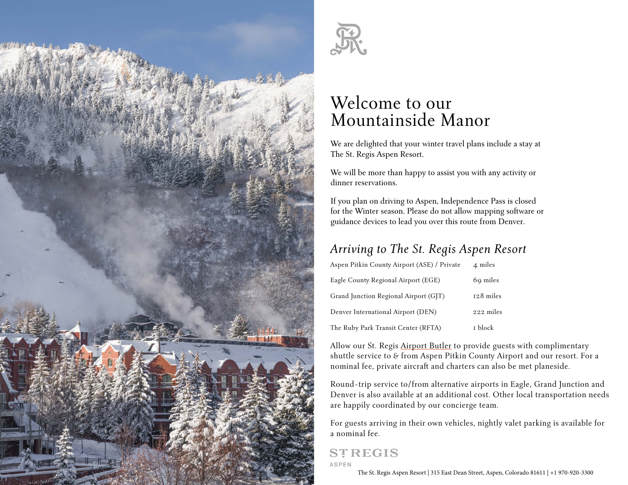



# Welcome to our Mountainside Manor

We are delighted that your winter travel plans include a stay at The St. Regis Aspen Resort.

We will be more than happy to assist you with any activity or dinner reservations.

If you plan on driving to Aspen, Independence Pass is closed for the Winter season. Please do not allow mapping software or guidance devices to lead you over this route from Denver.

# *Arriving to The St. Regis Aspen Resort*

| Aspen Pitkin County Airport (ASE) / Private | 4 miles   |
|---------------------------------------------|-----------|
| Eagle County Regional Airport (EGE)         | 69 miles  |
| Grand Junction Regional Airport (GJT)       | 128 miles |
| Denver International Airport (DEN)          | 222 miles |
| The Ruby Park Transit Center (RFTA)         | I block   |

Allow our St. Regis Airport Butler to provide guests with complimentary shuttle service to & from Aspen Pitkin County Airport and our resort. For a nominal fee, private aircraft and charters can also be met planeside.

Round-trip service to/from alternative airports in Eagle, Grand Junction and Denver is also available at an additional cost. Other local transportation needs are happily coordinated by our concierge team.

For guests arriving in their own vehicles, nightly valet parking is available for a nominal fee.

# **STREGIS**

**ASPEN** 

The St. Regis Aspen Resort | 315 East Dean Street, Aspen, Colorado 81611 | +1 970-920-3300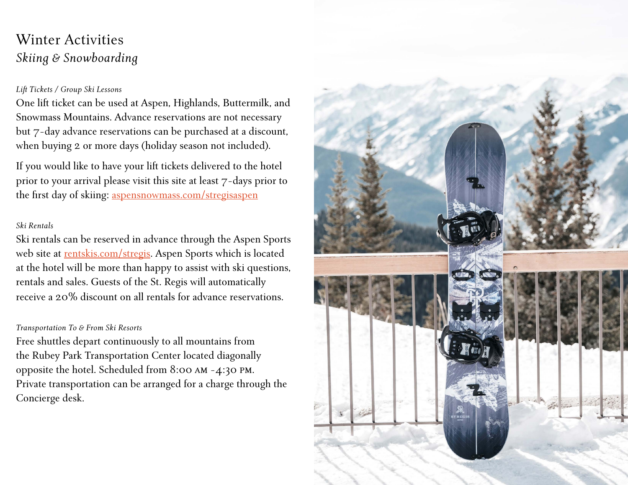# Winter Activities *Skiing & Snowboarding*

### *Lift Tickets / Group Ski Lessons*

One lift ticket can be used at Aspen, Highlands, Buttermilk, and Snowmass Mountains. Advance reservations are not necessary but 7-day advance reservations can be purchased at a discount, when buying 2 or more days (holiday season not included).

If you would like to have your lift tickets delivered to the hotel prior to your arrival please visit this site at least 7-days prior to the first day of skiing: [aspensnowmass.com/stregisaspen](http://aspensnowmass.com/stregisaspen)

### *Ski Rentals*

Ski rentals can be reserved in advance through the Aspen Sports web site at [rentskis.com/stregis.](http://rentskis.com/stregis) Aspen Sports which is located at the hotel will be more than happy to assist with ski questions, rentals and sales. Guests of the St. Regis will automatically receive a 20% discount on all rentals for advance reservations.

#### *Transportation To & From Ski Resorts*

Free shuttles depart continuously to all mountains from the Rubey Park Transportation Center located diagonally opposite the hotel. Scheduled from 8:00 am -4:30 pm. Private transportation can be arranged for a charge through the Concierge desk.

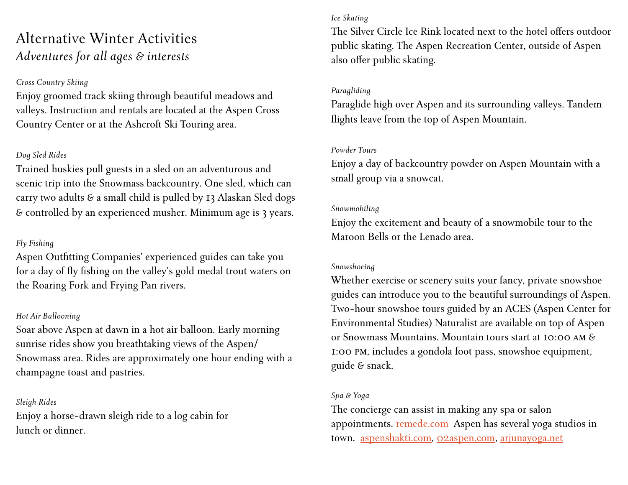# Alternative Winter Activities *Adventures for all ages & interests*

### *Cross Country Skiing*

Enjoy groomed track skiing through beautiful meadows and valleys. Instruction and rentals are located at the Aspen Cross Country Center or at the Ashcroft Ski Touring area.

### *Dog Sled Rides*

Trained huskies pull guests in a sled on an adventurous and scenic trip into the Snowmass backcountry. One sled, which can carry two adults & a small child is pulled by 13 Alaskan Sled dogs & controlled by an experienced musher. Minimum age is 3 years.

### *Fly Fishing*

Aspen Outfitting Companies' experienced guides can take you for a day of fly fishing on the valley's gold medal trout waters on the Roaring Fork and Frying Pan rivers.

### *Hot Air Ballooning*

Soar above Aspen at dawn in a hot air balloon. Early morning sunrise rides show you breathtaking views of the Aspen/ Snowmass area. Rides are approximately one hour ending with a champagne toast and pastries.

### *Sleigh Rides*

Enjoy a horse-drawn sleigh ride to a log cabin for lunch or dinner.

### *Ice Skating*

The Silver Circle Ice Rink located next to the hotel offers outdoor public skating. The Aspen Recreation Center, outside of Aspen also offer public skating.

### *Paragliding*

Paraglide high over Aspen and its surrounding valleys. Tandem flights leave from the top of Aspen Mountain.

### *Powder Tours*

Enjoy a day of backcountry powder on Aspen Mountain with a small group via a snowcat.

### *Snowmobiling*

Enjoy the excitement and beauty of a snowmobile tour to the Maroon Bells or the Lenado area.

### *Snowshoeing*

Whether exercise or scenery suits your fancy, private snowshoe guides can introduce you to the beautiful surroundings of Aspen. Two-hour snowshoe tours guided by an ACES (Aspen Center for Environmental Studies) Naturalist are available on top of Aspen or Snowmass Mountains. Mountain tours start at 10:00 am & 1:00 pm, includes a gondola foot pass, snowshoe equipment, guide & snack.

### *Spa & Yoga*

The concierge can assist in making any spa or salon appointments. [remede.com](http://remede.com) Aspen has several yoga studios in town. [aspenshakti.com](http://aspenshakti.com), [02aspen.com](http://02aspen.com), [arjunayoga.net](http://arjunayoga.net)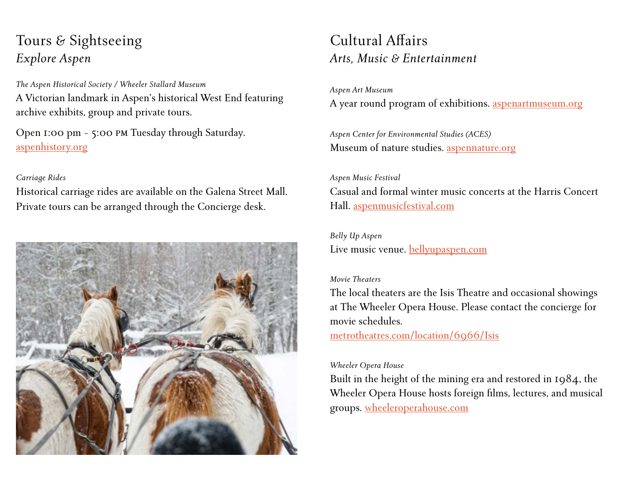# Tours & Sightseeing *Explore Aspen*

*The Aspen Historical Society / Wheeler Stallard Museum* A Victorian landmark in Aspen's historical West End featuring archive exhibits, group and private tours.

Open 1:00 pm - 5:00 pm Tuesday through Saturday. [aspenhistory.org](http://aspenhistory.org)

### *Carriage Rides*

Historical carriage rides are available on the Galena Street Mall. Private tours can be arranged through the Concierge desk.



# Cultural Affairs *Arts, Music & Entertainment*

*Aspen Art Museum* A year round program of exhibitions. [aspenartmuseum.org](http://aspenartmuseum.org)

*Aspen Center for Environmental Studies (ACES)* Museum of nature studies. [aspennature.org](http://aspennature.org)

*Aspen Music Festival* Casual and formal winter music concerts at the Harris Concert Hall. [aspenmusicfestival.com](http://aspenmusicfestival.com)

*Belly Up Aspen* Live music venue. [bellyupaspen.com](http://bellyupaspen.com)

### *Movie Theaters*

The local theaters are the Isis Theatre and occasional showings at The Wheeler Opera House. Please contact the concierge for movie schedules.

[metrotheatres.com/location/6966/Isis](http://metrotheatres.com/location/6966/Isis)

### *Wheeler Opera House*

Built in the height of the mining era and restored in 1984, the Wheeler Opera House hosts foreign films, lectures, and musical groups. [wheeleroperahouse.com](http://wheeleroperahouse.com)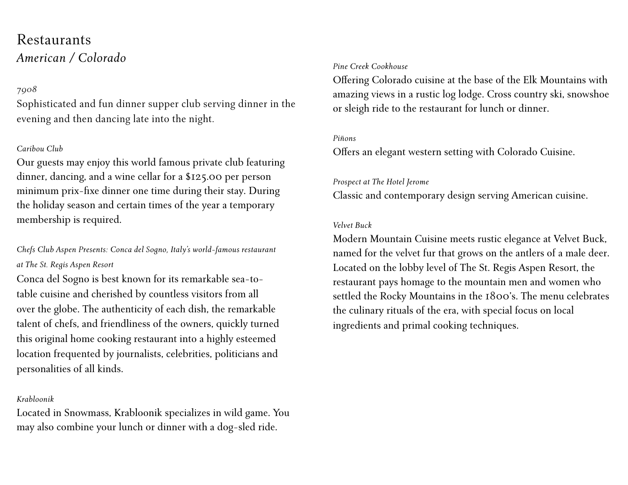# Restaurants *American / Colorado*

### *7908*

Sophisticated and fun dinner supper club serving dinner in the evening and then dancing late into the night.

### *Caribou Club*

Our guests may enjoy this world famous private club featuring dinner, dancing, and a wine cellar for a \$125.00 per person minimum prix-fixe dinner one time during their stay. During the holiday season and certain times of the year a temporary membership is required.

*Chefs Club Aspen Presents: Conca del Sogno, Italy's world-famous restaurant at The St. Regis Aspen Resort* 

Conca del Sogno is best known for its remarkable sea-totable cuisine and cherished by countless visitors from all over the globe. The authenticity of each dish, the remarkable talent of chefs, and friendliness of the owners, quickly turned this original home cooking restaurant into a highly esteemed location frequented by journalists, celebrities, politicians and personalities of all kinds.

### *Krabloonik*

Located in Snowmass, Krabloonik specializes in wild game. You may also combine your lunch or dinner with a dog-sled ride.

#### *Pine Creek Cookhouse*

Offering Colorado cuisine at the base of the Elk Mountains with amazing views in a rustic log lodge. Cross country ski, snowshoe or sleigh ride to the restaurant for lunch or dinner.

#### *Piñons*

Offers an elegant western setting with Colorado Cuisine.

### *Prospect at The Hotel Jerome*

Classic and contemporary design serving American cuisine.

### *Velvet Buck*

Modern Mountain Cuisine meets rustic elegance at Velvet Buck, named for the velvet fur that grows on the antlers of a male deer. Located on the lobby level of The St. Regis Aspen Resort, the restaurant pays homage to the mountain men and women who settled the Rocky Mountains in the 1800's. The menu celebrates the culinary rituals of the era, with special focus on local ingredients and primal cooking techniques.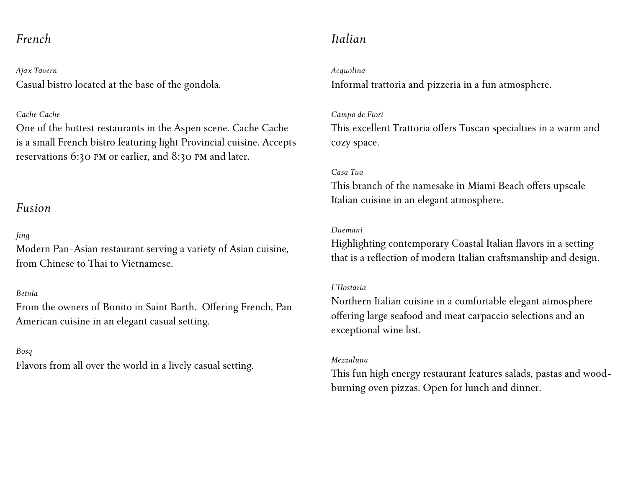### *French*

*Ajax Tavern* Casual bistro located at the base of the gondola.

### *Cache Cache*

One of the hottest restaurants in the Aspen scene. Cache Cache is a small French bistro featuring light Provincial cuisine. Accepts reservations 6:30 pm or earlier, and 8:30 pm and later.

### *Fusion*

### *Jing*

Modern Pan-Asian restaurant serving a variety of Asian cuisine, from Chinese to Thai to Vietnamese.

### *Betula*

From the owners of Bonito in Saint Barth. Offering French, Pan-American cuisine in an elegant casual setting.

### *Bosq*

Flavors from all over the world in a lively casual setting.

## *Italian*

#### *Acquolina*

Informal trattoria and pizzeria in a fun atmosphere.

#### *Campo de Fiori*

This excellent Trattoria offers Tuscan specialties in a warm and cozy space.

### *Casa Tua*

This branch of the namesake in Miami Beach offers upscale Italian cuisine in an elegant atmosphere.

### *Duemani*

Highlighting contemporary Coastal Italian flavors in a setting that is a reflection of modern Italian craftsmanship and design.

### *L'Hostaria*

Northern Italian cuisine in a comfortable elegant atmosphere offering large seafood and meat carpaccio selections and an exceptional wine list.

### *Mezzaluna*

This fun high energy restaurant features salads, pastas and woodburning oven pizzas. Open for lunch and dinner.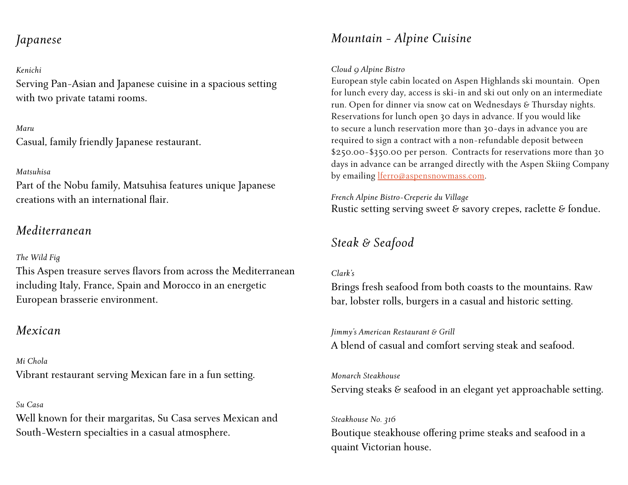## *Japanese*

### *Kenichi*

Serving Pan-Asian and Japanese cuisine in a spacious setting with two private tatami rooms.

*Maru* Casual, family friendly Japanese restaurant.

### *Matsuhisa*

Part of the Nobu family, Matsuhisa features unique Japanese creations with an international flair.

## *Mediterranean*

### *The Wild Fig*

This Aspen treasure serves flavors from across the Mediterranean including Italy, France, Spain and Morocco in an energetic European brasserie environment.

# *Mexican*

*Mi Chola* Vibrant restaurant serving Mexican fare in a fun setting.

### *Su Casa*

Well known for their margaritas, Su Casa serves Mexican and South-Western specialties in a casual atmosphere.

# *Mountain - Alpine Cuisine*

### *Cloud 9 Alpine Bistro*

European style cabin located on Aspen Highlands ski mountain. Open for lunch every day, access is ski-in and ski out only on an intermediate run. Open for dinner via snow cat on Wednesdays & Thursday nights. Reservations for lunch open 30 days in advance. If you would like to secure a lunch reservation more than 30-days in advance you are required to sign a contract with a non-refundable deposit between \$250.00-\$350.00 per person. Contracts for reservations more than 30 days in advance can be arranged directly with the Aspen Skiing Company by emailing [lferro@aspensnowmass.com.](mailto:lferro%40aspensnowmass.com?subject=St.%20Regis%20Cloud%209%20Inquiry)

*French Alpine Bistro-Creperie du Village* Rustic setting serving sweet & savory crepes, raclette & fondue.

## *Steak & Seafood*

### *Clark's*

Brings fresh seafood from both coasts to the mountains. Raw bar, lobster rolls, burgers in a casual and historic setting.

*Jimmy's American Restaurant & Grill* A blend of casual and comfort serving steak and seafood.

### *Monarch Steakhouse*

Serving steaks & seafood in an elegant yet approachable setting.

### *Steakhouse No. 316*

Boutique steakhouse offering prime steaks and seafood in a quaint Victorian house.